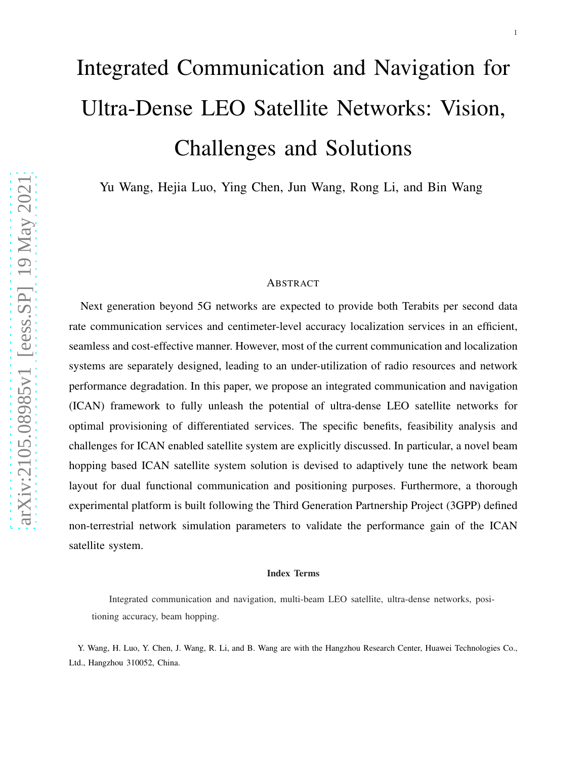# Integrated Communication and Navigation for Ultra-Dense LEO Satellite Networks: Vision, Challenges and Solutions

Yu Wang, Hejia Luo, Ying Chen, Jun Wang, Rong Li, and Bin Wang

# ABSTRACT

Next generation beyond 5G networks are expected to provide both Terabits per second data rate communication services and centimeter-level accuracy localization services in an efficient, seamless and cost-effective manner. However, most of the current communication and localization systems are separately designed, leading to an under-utilization of radio resources and network performance degradation. In this paper, we propose an integrated communication and navigation (ICAN) framework to fully unleash the potential of ultra-dense LEO satellite networks for optimal provisioning of differentiated services. The specific benefits, feasibility analysis and challenges for ICAN enabled satellite system are explicitly discussed. In particular, a novel beam hopping based ICAN satellite system solution is devised to adaptively tune the network beam layout for dual functional communication and positioning purposes. Furthermore, a thorough experimental platform is built following the Third Generation Partnership Project (3GPP) defined non-terrestrial network simulation parameters to validate the performance gain of the ICAN satellite system.

#### Index Terms

Integrated communication and navigation, multi-beam LEO satellite, ultra-dense networks, positioning accuracy, beam hopping.

Y. Wang, H. Luo, Y. Chen, J. Wang, R. Li, and B. Wang are with the Hangzhou Research Center, Huawei Technologies Co., Ltd., Hangzhou 310052, China.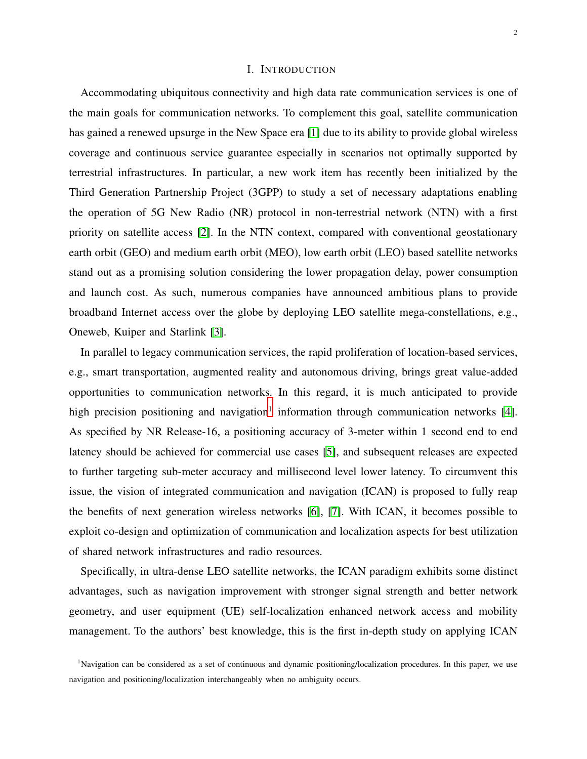# I. INTRODUCTION

Accommodating ubiquitous connectivity and high data rate communication services is one of the main goals for communication networks. To complement this goal, satellite communication has gained a renewed upsurge in the New Space era [\[1\]](#page-13-0) due to its ability to provide global wireless coverage and continuous service guarantee especially in scenarios not optimally supported by terrestrial infrastructures. In particular, a new work item has recently been initialized by the Third Generation Partnership Project (3GPP) to study a set of necessary adaptations enabling the operation of 5G New Radio (NR) protocol in non-terrestrial network (NTN) with a first priority on satellite access [\[2\]](#page-13-1). In the NTN context, compared with conventional geostationary earth orbit (GEO) and medium earth orbit (MEO), low earth orbit (LEO) based satellite networks stand out as a promising solution considering the lower propagation delay, power consumption and launch cost. As such, numerous companies have announced ambitious plans to provide broadband Internet access over the globe by deploying LEO satellite mega-constellations, e.g., Oneweb, Kuiper and Starlink [\[3\]](#page-13-2).

In parallel to legacy communication services, the rapid proliferation of location-based services, e.g., smart transportation, augmented reality and autonomous driving, brings great value-added opportunities to communication networks. In this regard, it is much anticipated to provide high precision positioning and navigation<sup>[1](#page-1-0)</sup> information through communication networks [\[4\]](#page-13-3). As specified by NR Release-16, a positioning accuracy of 3-meter within 1 second end to end latency should be achieved for commercial use cases [\[5\]](#page-13-4), and subsequent releases are expected to further targeting sub-meter accuracy and millisecond level lower latency. To circumvent this issue, the vision of integrated communication and navigation (ICAN) is proposed to fully reap the benefits of next generation wireless networks [\[6\]](#page-13-5), [\[7\]](#page-13-6). With ICAN, it becomes possible to exploit co-design and optimization of communication and localization aspects for best utilization of shared network infrastructures and radio resources.

Specifically, in ultra-dense LEO satellite networks, the ICAN paradigm exhibits some distinct advantages, such as navigation improvement with stronger signal strength and better network geometry, and user equipment (UE) self-localization enhanced network access and mobility management. To the authors' best knowledge, this is the first in-depth study on applying ICAN

<span id="page-1-0"></span><sup>&</sup>lt;sup>1</sup>Navigation can be considered as a set of continuous and dynamic positioning/localization procedures. In this paper, we use navigation and positioning/localization interchangeably when no ambiguity occurs.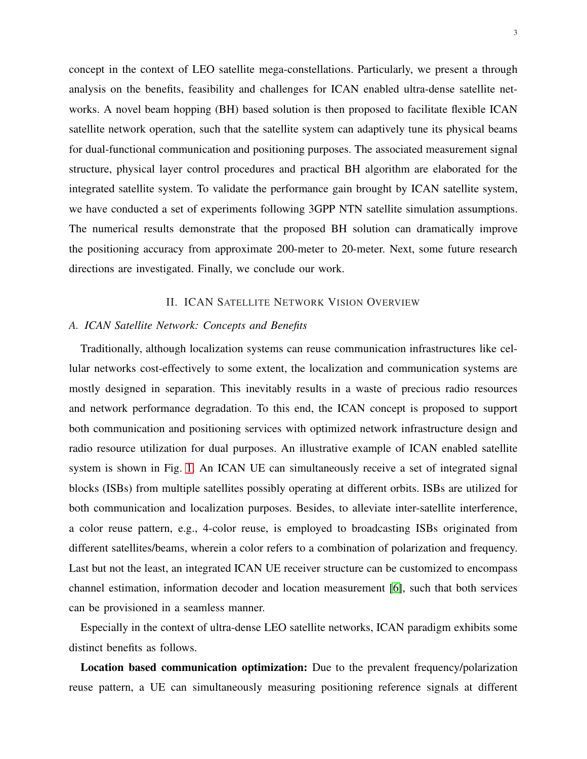concept in the context of LEO satellite mega-constellations. Particularly, we present a through analysis on the benefits, feasibility and challenges for ICAN enabled ultra-dense satellite networks. A novel beam hopping (BH) based solution is then proposed to facilitate flexible ICAN satellite network operation, such that the satellite system can adaptively tune its physical beams for dual-functional communication and positioning purposes. The associated measurement signal structure, physical layer control procedures and practical BH algorithm are elaborated for the integrated satellite system. To validate the performance gain brought by ICAN satellite system, we have conducted a set of experiments following 3GPP NTN satellite simulation assumptions. The numerical results demonstrate that the proposed BH solution can dramatically improve the positioning accuracy from approximate 200-meter to 20-meter. Next, some future research directions are investigated. Finally, we conclude our work.

# II. ICAN SATELLITE NETWORK VISION OVERVIEW

## *A. ICAN Satellite Network: Concepts and Benefits*

Traditionally, although localization systems can reuse communication infrastructures like cellular networks cost-effectively to some extent, the localization and communication systems are mostly designed in separation. This inevitably results in a waste of precious radio resources and network performance degradation. To this end, the ICAN concept is proposed to support both communication and positioning services with optimized network infrastructure design and radio resource utilization for dual purposes. An illustrative example of ICAN enabled satellite system is shown in Fig. [1.](#page-3-0) An ICAN UE can simultaneously receive a set of integrated signal blocks (ISBs) from multiple satellites possibly operating at different orbits. ISBs are utilized for both communication and localization purposes. Besides, to alleviate inter-satellite interference, a color reuse pattern, e.g., 4-color reuse, is employed to broadcasting ISBs originated from different satellites/beams, wherein a color refers to a combination of polarization and frequency. Last but not the least, an integrated ICAN UE receiver structure can be customized to encompass channel estimation, information decoder and location measurement [\[6\]](#page-13-5), such that both services can be provisioned in a seamless manner.

Especially in the context of ultra-dense LEO satellite networks, ICAN paradigm exhibits some distinct benefits as follows.

Location based communication optimization: Due to the prevalent frequency/polarization reuse pattern, a UE can simultaneously measuring positioning reference signals at different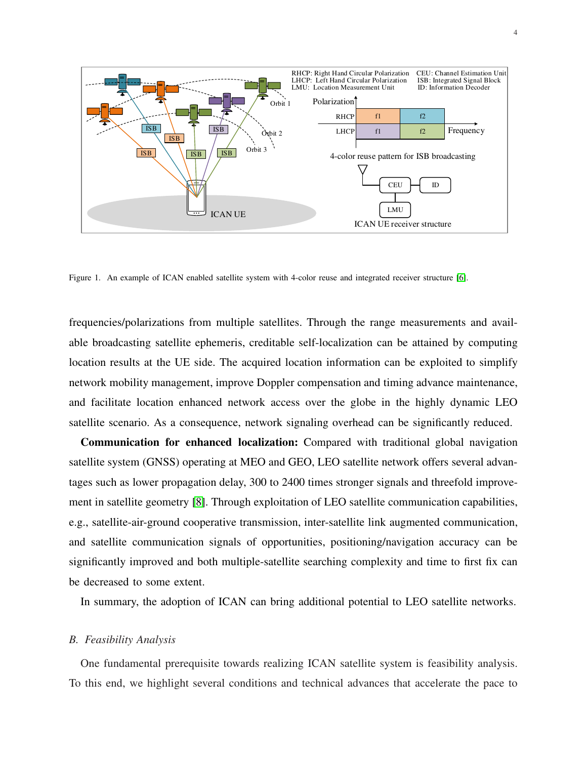

<span id="page-3-0"></span>Figure 1. An example of ICAN enabled satellite system with 4-color reuse and integrated receiver structure [\[6\]](#page-13-5).

frequencies/polarizations from multiple satellites. Through the range measurements and available broadcasting satellite ephemeris, creditable self-localization can be attained by computing location results at the UE side. The acquired location information can be exploited to simplify network mobility management, improve Doppler compensation and timing advance maintenance, and facilitate location enhanced network access over the globe in the highly dynamic LEO satellite scenario. As a consequence, network signaling overhead can be significantly reduced.

Communication for enhanced localization: Compared with traditional global navigation satellite system (GNSS) operating at MEO and GEO, LEO satellite network offers several advantages such as lower propagation delay, 300 to 2400 times stronger signals and threefold improvement in satellite geometry [\[8\]](#page-13-7). Through exploitation of LEO satellite communication capabilities, e.g., satellite-air-ground cooperative transmission, inter-satellite link augmented communication, and satellite communication signals of opportunities, positioning/navigation accuracy can be significantly improved and both multiple-satellite searching complexity and time to first fix can be decreased to some extent.

In summary, the adoption of ICAN can bring additional potential to LEO satellite networks.

## *B. Feasibility Analysis*

One fundamental prerequisite towards realizing ICAN satellite system is feasibility analysis. To this end, we highlight several conditions and technical advances that accelerate the pace to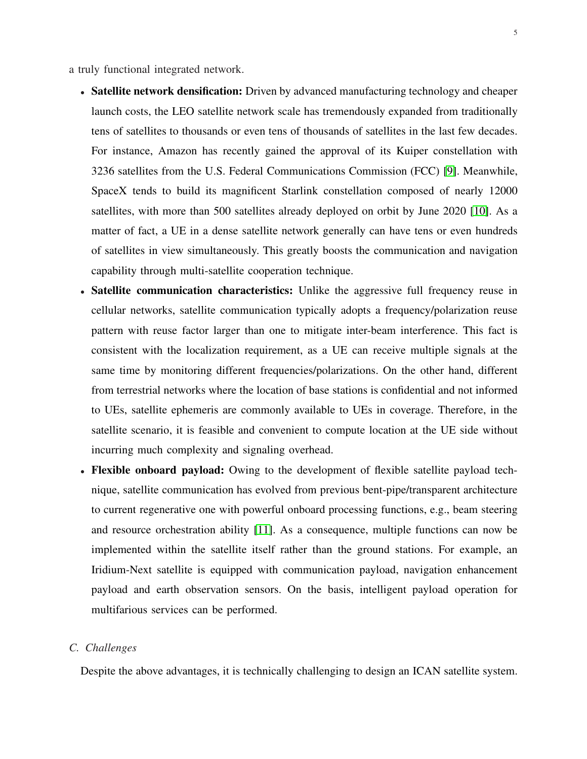a truly functional integrated network.

- Satellite network densification: Driven by advanced manufacturing technology and cheaper launch costs, the LEO satellite network scale has tremendously expanded from traditionally tens of satellites to thousands or even tens of thousands of satellites in the last few decades. For instance, Amazon has recently gained the approval of its Kuiper constellation with 3236 satellites from the U.S. Federal Communications Commission (FCC) [\[9\]](#page-13-8). Meanwhile, SpaceX tends to build its magnificent Starlink constellation composed of nearly 12000 satellites, with more than 500 satellites already deployed on orbit by June 2020 [\[10\]](#page-13-9). As a matter of fact, a UE in a dense satellite network generally can have tens or even hundreds of satellites in view simultaneously. This greatly boosts the communication and navigation capability through multi-satellite cooperation technique.
- Satellite communication characteristics: Unlike the aggressive full frequency reuse in cellular networks, satellite communication typically adopts a frequency/polarization reuse pattern with reuse factor larger than one to mitigate inter-beam interference. This fact is consistent with the localization requirement, as a UE can receive multiple signals at the same time by monitoring different frequencies/polarizations. On the other hand, different from terrestrial networks where the location of base stations is confidential and not informed to UEs, satellite ephemeris are commonly available to UEs in coverage. Therefore, in the satellite scenario, it is feasible and convenient to compute location at the UE side without incurring much complexity and signaling overhead.
- Flexible onboard payload: Owing to the development of flexible satellite payload technique, satellite communication has evolved from previous bent-pipe/transparent architecture to current regenerative one with powerful onboard processing functions, e.g., beam steering and resource orchestration ability [\[11\]](#page-14-0). As a consequence, multiple functions can now be implemented within the satellite itself rather than the ground stations. For example, an Iridium-Next satellite is equipped with communication payload, navigation enhancement payload and earth observation sensors. On the basis, intelligent payload operation for multifarious services can be performed.

# *C. Challenges*

Despite the above advantages, it is technically challenging to design an ICAN satellite system.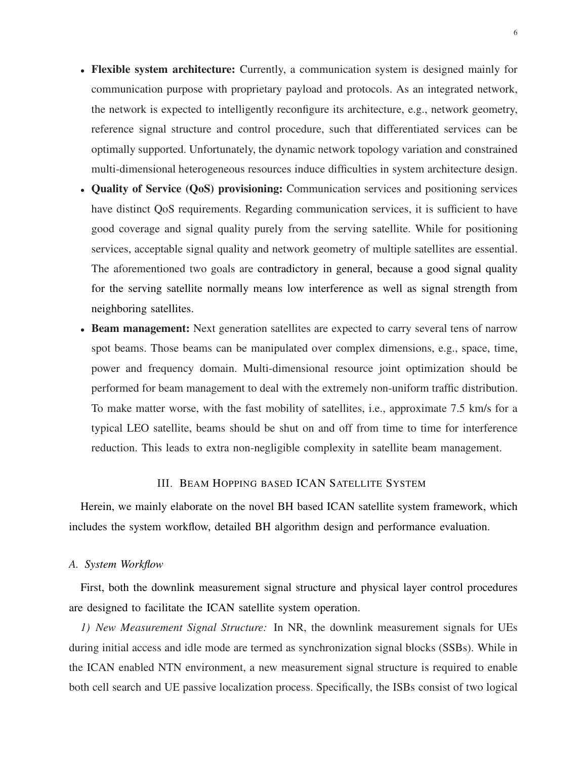- Flexible system architecture: Currently, a communication system is designed mainly for communication purpose with proprietary payload and protocols. As an integrated network, the network is expected to intelligently reconfigure its architecture, e.g., network geometry, reference signal structure and control procedure, such that differentiated services can be optimally supported. Unfortunately, the dynamic network topology variation and constrained multi-dimensional heterogeneous resources induce difficulties in system architecture design.
- Quality of Service (QoS) provisioning: Communication services and positioning services have distinct QoS requirements. Regarding communication services, it is sufficient to have good coverage and signal quality purely from the serving satellite. While for positioning services, acceptable signal quality and network geometry of multiple satellites are essential. The aforementioned two goals are contradictory in general, because a good signal quality for the serving satellite normally means low interference as well as signal strength from neighboring satellites.
- Beam management: Next generation satellites are expected to carry several tens of narrow spot beams. Those beams can be manipulated over complex dimensions, e.g., space, time, power and frequency domain. Multi-dimensional resource joint optimization should be performed for beam management to deal with the extremely non-uniform traffic distribution. To make matter worse, with the fast mobility of satellites, i.e., approximate 7.5 km/s for a typical LEO satellite, beams should be shut on and off from time to time for interference reduction. This leads to extra non-negligible complexity in satellite beam management.

# III. BEAM HOPPING BASED ICAN SATELLITE SYSTEM

Herein, we mainly elaborate on the novel BH based ICAN satellite system framework, which includes the system workflow, detailed BH algorithm design and performance evaluation.

# *A. System Workflow*

First, both the downlink measurement signal structure and physical layer control procedures are designed to facilitate the ICAN satellite system operation.

*1) New Measurement Signal Structure:* In NR, the downlink measurement signals for UEs during initial access and idle mode are termed as synchronization signal blocks (SSBs). While in the ICAN enabled NTN environment, a new measurement signal structure is required to enable both cell search and UE passive localization process. Specifically, the ISBs consist of two logical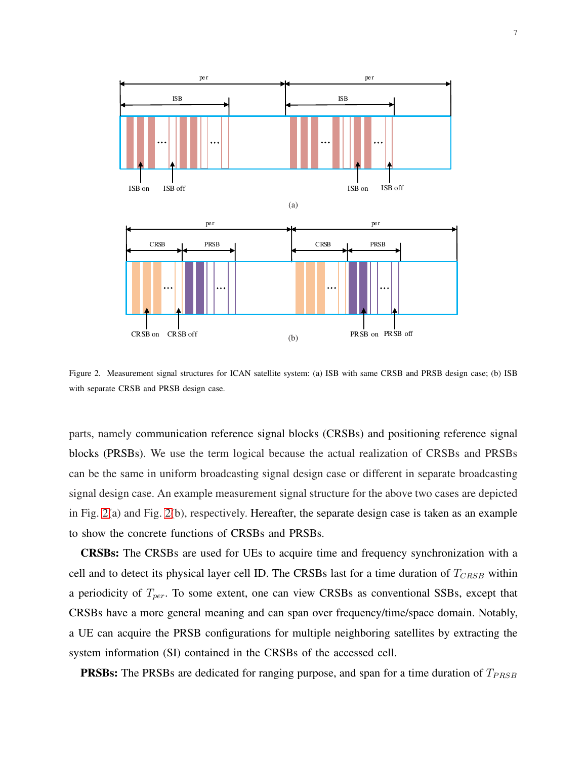

<span id="page-6-0"></span>Figure 2. Measurement signal structures for ICAN satellite system: (a) ISB with same CRSB and PRSB design case; (b) ISB with separate CRSB and PRSB design case.

parts, namely communication reference signal blocks (CRSBs) and positioning reference signal blocks (PRSBs). We use the term logical because the actual realization of CRSBs and PRSBs can be the same in uniform broadcasting signal design case or different in separate broadcasting signal design case. An example measurement signal structure for the above two cases are depicted in Fig. [2\(](#page-6-0)a) and Fig. [2\(](#page-6-0)b), respectively. Hereafter, the separate design case is taken as an example to show the concrete functions of CRSBs and PRSBs.

CRSBs: The CRSBs are used for UEs to acquire time and frequency synchronization with a cell and to detect its physical layer cell ID. The CRSBs last for a time duration of  $T_{CRSB}$  within a periodicity of  $T_{per}$ . To some extent, one can view CRSBs as conventional SSBs, except that CRSBs have a more general meaning and can span over frequency/time/space domain. Notably, a UE can acquire the PRSB configurations for multiple neighboring satellites by extracting the system information (SI) contained in the CRSBs of the accessed cell.

**PRSBs:** The PRSBs are dedicated for ranging purpose, and span for a time duration of  $T_{PRSB}$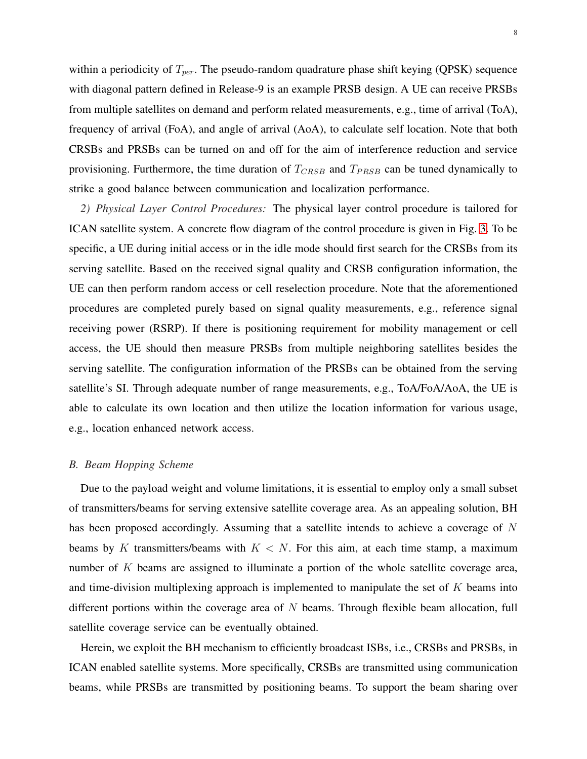within a periodicity of  $T_{per}$ . The pseudo-random quadrature phase shift keying (QPSK) sequence with diagonal pattern defined in Release-9 is an example PRSB design. A UE can receive PRSBs from multiple satellites on demand and perform related measurements, e.g., time of arrival (ToA), frequency of arrival (FoA), and angle of arrival (AoA), to calculate self location. Note that both CRSBs and PRSBs can be turned on and off for the aim of interference reduction and service provisioning. Furthermore, the time duration of  $T_{CRSB}$  and  $T_{PRSB}$  can be tuned dynamically to strike a good balance between communication and localization performance.

*2) Physical Layer Control Procedures:* The physical layer control procedure is tailored for ICAN satellite system. A concrete flow diagram of the control procedure is given in Fig. [3.](#page-8-0) To be specific, a UE during initial access or in the idle mode should first search for the CRSBs from its serving satellite. Based on the received signal quality and CRSB configuration information, the UE can then perform random access or cell reselection procedure. Note that the aforementioned procedures are completed purely based on signal quality measurements, e.g., reference signal receiving power (RSRP). If there is positioning requirement for mobility management or cell access, the UE should then measure PRSBs from multiple neighboring satellites besides the serving satellite. The configuration information of the PRSBs can be obtained from the serving satellite's SI. Through adequate number of range measurements, e.g., ToA/FoA/AoA, the UE is able to calculate its own location and then utilize the location information for various usage, e.g., location enhanced network access.

#### *B. Beam Hopping Scheme*

Due to the payload weight and volume limitations, it is essential to employ only a small subset of transmitters/beams for serving extensive satellite coverage area. As an appealing solution, BH has been proposed accordingly. Assuming that a satellite intends to achieve a coverage of N beams by K transmitters/beams with  $K < N$ . For this aim, at each time stamp, a maximum number of K beams are assigned to illuminate a portion of the whole satellite coverage area, and time-division multiplexing approach is implemented to manipulate the set of  $K$  beams into different portions within the coverage area of  $N$  beams. Through flexible beam allocation, full satellite coverage service can be eventually obtained.

Herein, we exploit the BH mechanism to efficiently broadcast ISBs, i.e., CRSBs and PRSBs, in ICAN enabled satellite systems. More specifically, CRSBs are transmitted using communication beams, while PRSBs are transmitted by positioning beams. To support the beam sharing over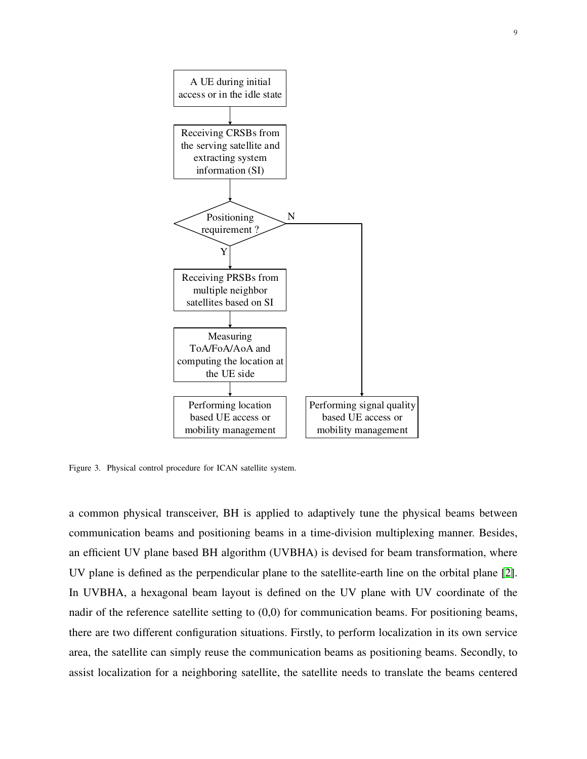

<span id="page-8-0"></span>Figure 3. Physical control procedure for ICAN satellite system.

a common physical transceiver, BH is applied to adaptively tune the physical beams between communication beams and positioning beams in a time-division multiplexing manner. Besides, an efficient UV plane based BH algorithm (UVBHA) is devised for beam transformation, where UV plane is defined as the perpendicular plane to the satellite-earth line on the orbital plane [\[2\]](#page-13-1). In UVBHA, a hexagonal beam layout is defined on the UV plane with UV coordinate of the nadir of the reference satellite setting to (0,0) for communication beams. For positioning beams, there are two different configuration situations. Firstly, to perform localization in its own service area, the satellite can simply reuse the communication beams as positioning beams. Secondly, to assist localization for a neighboring satellite, the satellite needs to translate the beams centered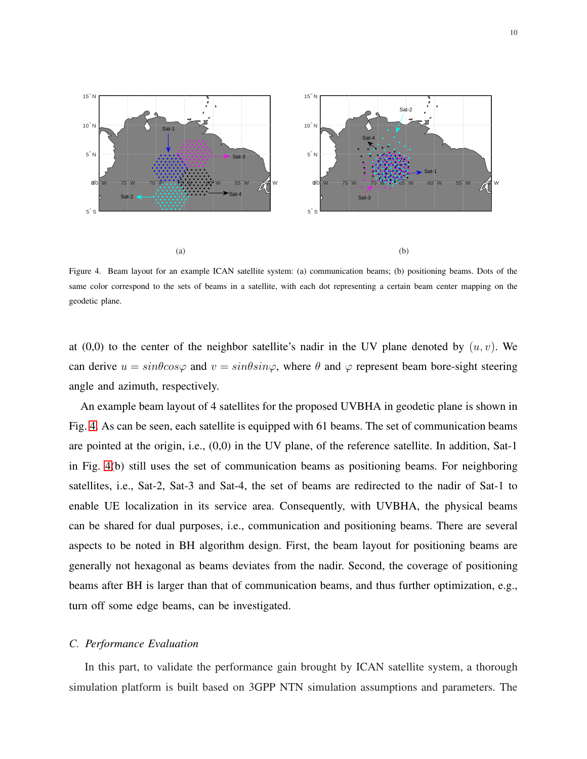

<span id="page-9-0"></span>Figure 4. Beam layout for an example ICAN satellite system: (a) communication beams; (b) positioning beams. Dots of the same color correspond to the sets of beams in a satellite, with each dot representing a certain beam center mapping on the geodetic plane.

at  $(0,0)$  to the center of the neighbor satellite's nadir in the UV plane denoted by  $(u, v)$ . We can derive  $u = sin\theta cos\varphi$  and  $v = sin\theta sin\varphi$ , where  $\theta$  and  $\varphi$  represent beam bore-sight steering angle and azimuth, respectively.

An example beam layout of 4 satellites for the proposed UVBHA in geodetic plane is shown in Fig. [4.](#page-9-0) As can be seen, each satellite is equipped with 61 beams. The set of communication beams are pointed at the origin, i.e., (0,0) in the UV plane, of the reference satellite. In addition, Sat-1 in Fig. [4\(](#page-9-0)b) still uses the set of communication beams as positioning beams. For neighboring satellites, i.e., Sat-2, Sat-3 and Sat-4, the set of beams are redirected to the nadir of Sat-1 to enable UE localization in its service area. Consequently, with UVBHA, the physical beams can be shared for dual purposes, i.e., communication and positioning beams. There are several aspects to be noted in BH algorithm design. First, the beam layout for positioning beams are generally not hexagonal as beams deviates from the nadir. Second, the coverage of positioning beams after BH is larger than that of communication beams, and thus further optimization, e.g., turn off some edge beams, can be investigated.

# *C. Performance Evaluation*

In this part, to validate the performance gain brought by ICAN satellite system, a thorough simulation platform is built based on 3GPP NTN simulation assumptions and parameters. The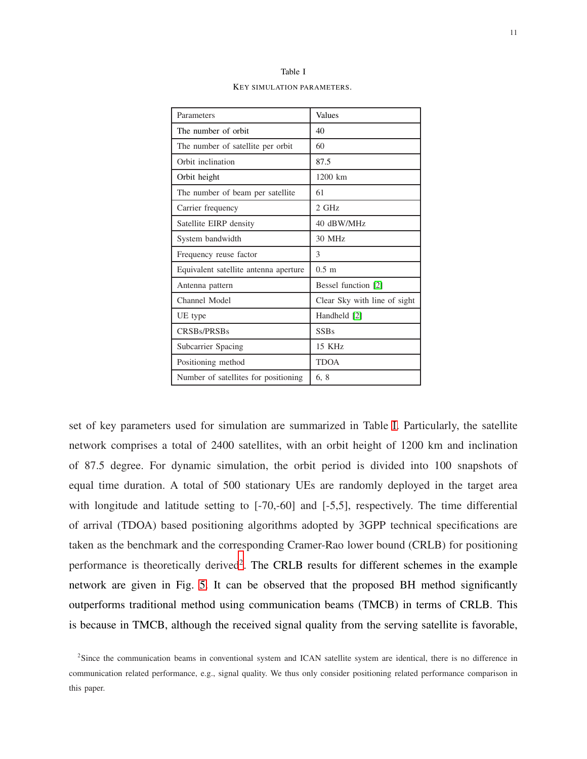<span id="page-10-0"></span>

| Parameters                            | Values                       |
|---------------------------------------|------------------------------|
| The number of orbit                   | 40                           |
| The number of satellite per orbit     | 60                           |
| Orbit inclination                     | 87.5                         |
| Orbit height                          | $1200$ km                    |
| The number of beam per satellite      | 61                           |
| Carrier frequency                     | 2 GHz                        |
| Satellite EIRP density                | 40 dBW/MHz                   |
| System bandwidth                      | 30 MHz                       |
| Frequency reuse factor                | 3                            |
| Equivalent satellite antenna aperture | $0.5 \text{ m}$              |
| Antenna pattern                       | Bessel function [2]          |
| Channel Model                         | Clear Sky with line of sight |
| UE type                               | Handheld [2]                 |
| CRSBs/PRSBs                           | <b>SSBs</b>                  |
| Subcarrier Spacing                    | 15 KHz                       |
| Positioning method                    | <b>TDOA</b>                  |
| Number of satellites for positioning  | 6, 8                         |

Table I KEY SIMULATION PARAMETERS.

set of key parameters used for simulation are summarized in Table [I.](#page-10-0) Particularly, the satellite network comprises a total of 2400 satellites, with an orbit height of 1200 km and inclination of 87.5 degree. For dynamic simulation, the orbit period is divided into 100 snapshots of equal time duration. A total of 500 stationary UEs are randomly deployed in the target area with longitude and latitude setting to [-70,-60] and [-5,5], respectively. The time differential of arrival (TDOA) based positioning algorithms adopted by 3GPP technical specifications are taken as the benchmark and the corresponding Cramer-Rao lower bound (CRLB) for positioning performance is theoretically derived<sup>[2](#page-10-1)</sup>. The CRLB results for different schemes in the example network are given in Fig. [5.](#page-11-0) It can be observed that the proposed BH method significantly outperforms traditional method using communication beams (TMCB) in terms of CRLB. This is because in TMCB, although the received signal quality from the serving satellite is favorable,

<span id="page-10-1"></span><sup>&</sup>lt;sup>2</sup>Since the communication beams in conventional system and ICAN satellite system are identical, there is no difference in communication related performance, e.g., signal quality. We thus only consider positioning related performance comparison in this paper.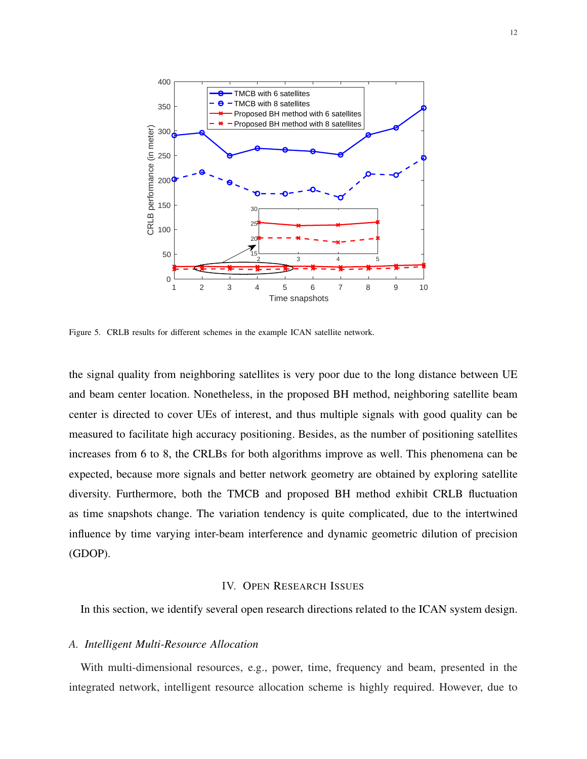

<span id="page-11-0"></span>Figure 5. CRLB results for different schemes in the example ICAN satellite network.

the signal quality from neighboring satellites is very poor due to the long distance between UE and beam center location. Nonetheless, in the proposed BH method, neighboring satellite beam center is directed to cover UEs of interest, and thus multiple signals with good quality can be measured to facilitate high accuracy positioning. Besides, as the number of positioning satellites increases from 6 to 8, the CRLBs for both algorithms improve as well. This phenomena can be expected, because more signals and better network geometry are obtained by exploring satellite diversity. Furthermore, both the TMCB and proposed BH method exhibit CRLB fluctuation as time snapshots change. The variation tendency is quite complicated, due to the intertwined influence by time varying inter-beam interference and dynamic geometric dilution of precision (GDOP).

# IV. OPEN RESEARCH ISSUES

In this section, we identify several open research directions related to the ICAN system design.

# *A. Intelligent Multi-Resource Allocation*

With multi-dimensional resources, e.g., power, time, frequency and beam, presented in the integrated network, intelligent resource allocation scheme is highly required. However, due to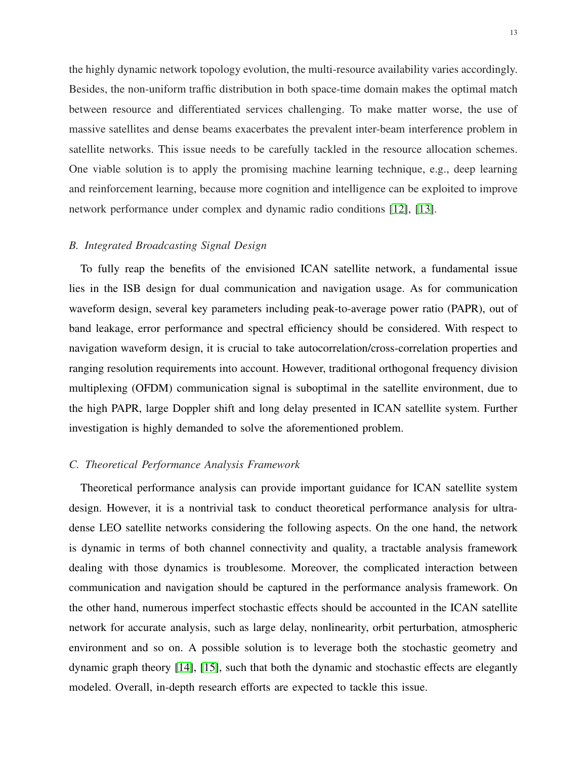the highly dynamic network topology evolution, the multi-resource availability varies accordingly. Besides, the non-uniform traffic distribution in both space-time domain makes the optimal match between resource and differentiated services challenging. To make matter worse, the use of massive satellites and dense beams exacerbates the prevalent inter-beam interference problem in satellite networks. This issue needs to be carefully tackled in the resource allocation schemes. One viable solution is to apply the promising machine learning technique, e.g., deep learning and reinforcement learning, because more cognition and intelligence can be exploited to improve network performance under complex and dynamic radio conditions [\[12\]](#page-14-1), [\[13\]](#page-14-2).

# *B. Integrated Broadcasting Signal Design*

To fully reap the benefits of the envisioned ICAN satellite network, a fundamental issue lies in the ISB design for dual communication and navigation usage. As for communication waveform design, several key parameters including peak-to-average power ratio (PAPR), out of band leakage, error performance and spectral efficiency should be considered. With respect to navigation waveform design, it is crucial to take autocorrelation/cross-correlation properties and ranging resolution requirements into account. However, traditional orthogonal frequency division multiplexing (OFDM) communication signal is suboptimal in the satellite environment, due to the high PAPR, large Doppler shift and long delay presented in ICAN satellite system. Further investigation is highly demanded to solve the aforementioned problem.

# *C. Theoretical Performance Analysis Framework*

Theoretical performance analysis can provide important guidance for ICAN satellite system design. However, it is a nontrivial task to conduct theoretical performance analysis for ultradense LEO satellite networks considering the following aspects. On the one hand, the network is dynamic in terms of both channel connectivity and quality, a tractable analysis framework dealing with those dynamics is troublesome. Moreover, the complicated interaction between communication and navigation should be captured in the performance analysis framework. On the other hand, numerous imperfect stochastic effects should be accounted in the ICAN satellite network for accurate analysis, such as large delay, nonlinearity, orbit perturbation, atmospheric environment and so on. A possible solution is to leverage both the stochastic geometry and dynamic graph theory [\[14\]](#page-14-3), [\[15\]](#page-14-4), such that both the dynamic and stochastic effects are elegantly modeled. Overall, in-depth research efforts are expected to tackle this issue.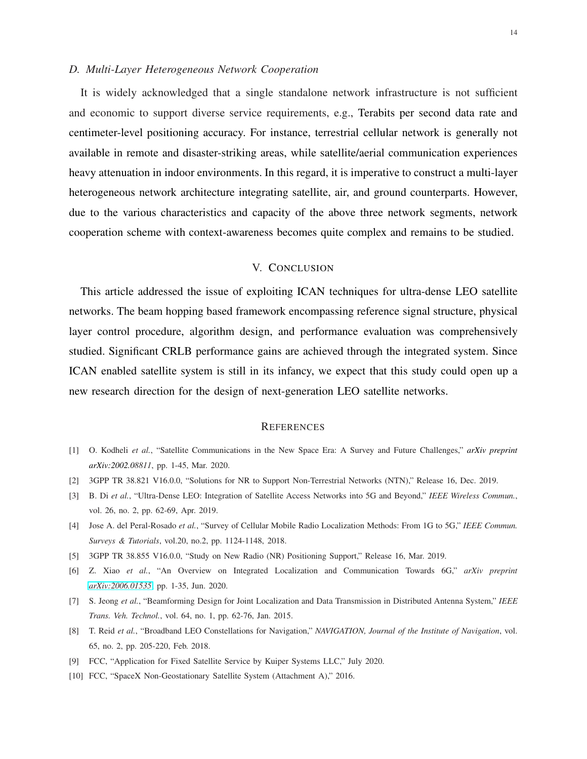## *D. Multi-Layer Heterogeneous Network Cooperation*

It is widely acknowledged that a single standalone network infrastructure is not sufficient and economic to support diverse service requirements, e.g., Terabits per second data rate and centimeter-level positioning accuracy. For instance, terrestrial cellular network is generally not available in remote and disaster-striking areas, while satellite/aerial communication experiences heavy attenuation in indoor environments. In this regard, it is imperative to construct a multi-layer heterogeneous network architecture integrating satellite, air, and ground counterparts. However, due to the various characteristics and capacity of the above three network segments, network cooperation scheme with context-awareness becomes quite complex and remains to be studied.

# V. CONCLUSION

This article addressed the issue of exploiting ICAN techniques for ultra-dense LEO satellite networks. The beam hopping based framework encompassing reference signal structure, physical layer control procedure, algorithm design, and performance evaluation was comprehensively studied. Significant CRLB performance gains are achieved through the integrated system. Since ICAN enabled satellite system is still in its infancy, we expect that this study could open up a new research direction for the design of next-generation LEO satellite networks.

# **REFERENCES**

- <span id="page-13-0"></span>[1] O. Kodheli *et al.*, "Satellite Communications in the New Space Era: A Survey and Future Challenges," *arXiv preprint arXiv:2002.08811*, pp. 1-45, Mar. 2020.
- <span id="page-13-1"></span>[2] 3GPP TR 38.821 V16.0.0, "Solutions for NR to Support Non-Terrestrial Networks (NTN)," Release 16, Dec. 2019.
- <span id="page-13-2"></span>[3] B. Di *et al.*, "Ultra-Dense LEO: Integration of Satellite Access Networks into 5G and Beyond," *IEEE Wireless Commun.*, vol. 26, no. 2, pp. 62-69, Apr. 2019.
- <span id="page-13-3"></span>[4] Jose A. del Peral-Rosado *et al.*, "Survey of Cellular Mobile Radio Localization Methods: From 1G to 5G," *IEEE Commun. Surveys & Tutorials*, vol.20, no.2, pp. 1124-1148, 2018.
- <span id="page-13-4"></span>[5] 3GPP TR 38.855 V16.0.0, "Study on New Radio (NR) Positioning Support," Release 16, Mar. 2019.
- <span id="page-13-5"></span>[6] Z. Xiao *et al.*, "An Overview on Integrated Localization and Communication Towards 6G," *arXiv preprint [arXiv:2006.01535](http://arxiv.org/abs/2006.01535)*, pp. 1-35, Jun. 2020.
- <span id="page-13-6"></span>[7] S. Jeong *et al.*, "Beamforming Design for Joint Localization and Data Transmission in Distributed Antenna System," *IEEE Trans. Veh. Technol.*, vol. 64, no. 1, pp. 62-76, Jan. 2015.
- <span id="page-13-7"></span>[8] T. Reid *et al.*, "Broadband LEO Constellations for Navigation," *NAVIGATION, Journal of the Institute of Navigation*, vol. 65, no. 2, pp. 205-220, Feb. 2018.
- <span id="page-13-8"></span>[9] FCC, "Application for Fixed Satellite Service by Kuiper Systems LLC," July 2020.
- <span id="page-13-9"></span>[10] FCC, "SpaceX Non-Geostationary Satellite System (Attachment A)," 2016.